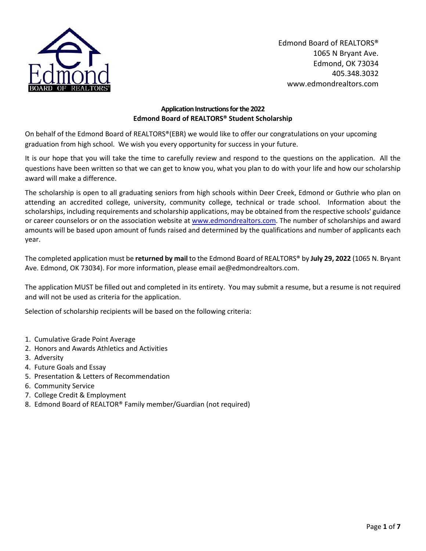

## **Application Instructions for the 2022 Edmond Board of REALTORS® Student Scholarship**

On behalf of the Edmond Board of REALTORS®(EBR) we would like to offer our congratulations on your upcoming graduation from high school. We wish you every opportunity for success in your future.

It is our hope that you will take the time to carefully review and respond to the questions on the application. All the questions have been written so that we can get to know you, what you plan to do with your life and how our scholarship award will make a difference.

The scholarship is open to all graduating seniors from high schools within Deer Creek, Edmond or Guthrie who plan on attending an accredited college, university, community college, technical or trade school. Information about the scholarships, including requirements and scholarship applications, may be obtained from the respective schools' guidance or career counselors or on the association website at [www.edmondrealtors.com.](http://www.edmondrealtors.com/) The number of scholarships and award amounts will be based upon amount of funds raised and determined by the qualifications and number of applicants each year.

The completed application must be **returned by mail** to the Edmond Board of REALTORS® by **July 29, 2022** (1065 N. Bryant Ave. Edmond, OK 73034). For more information, please email ae@edmondrealtors.com.

The application MUST be filled out and completed in its entirety. You may submit a resume, but a resume is not required and will not be used as criteria for the application.

Selection of scholarship recipients will be based on the following criteria:

- 1. Cumulative Grade Point Average
- 2. Honors and Awards Athletics and Activities
- 3. Adversity
- 4. Future Goals and Essay
- 5. Presentation & Letters of Recommendation
- 6. Community Service
- 7. College Credit & Employment
- 8. Edmond Board of REALTOR® Family member/Guardian (not required)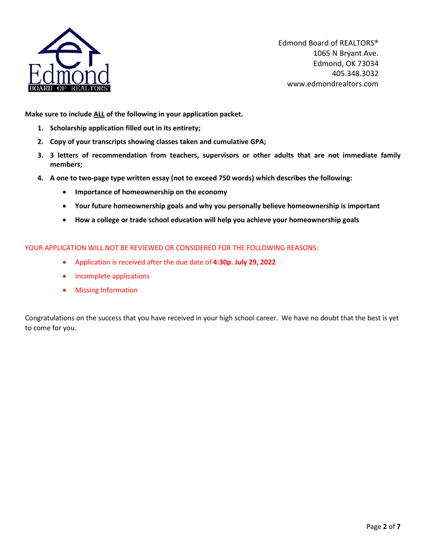

**Make sure to include ALL of the following in your application packet.**

- **1. Scholarship application filled out in its entirety;**
- **2. Copy of your transcripts showing classes taken and cumulative GPA;**
- **3. 3 letters of recommendation from teachers, supervisors or other adults that are not immediate family members;**
- **4. A one to two-page type written essay (not to exceed 750 words) which describes the following:**
	- **Importance of homeownership on the economy**
	- **Your future homeownership goals and why you personally believe homeownership is important**
	- **How a college or trade school education will help you achieve your homeownership goals**

YOUR APPLICATION WILL NOT BE REVIEWED OR CONSIDERED FOR THE FOLLOWING REASONS:

- Application is received after the due date of **4:30p. July 29, 2022**
- Incomplete applications
- Missing Information

Congratulations on the success that you have received in your high school career. We have no doubt that the best is yet to come for you.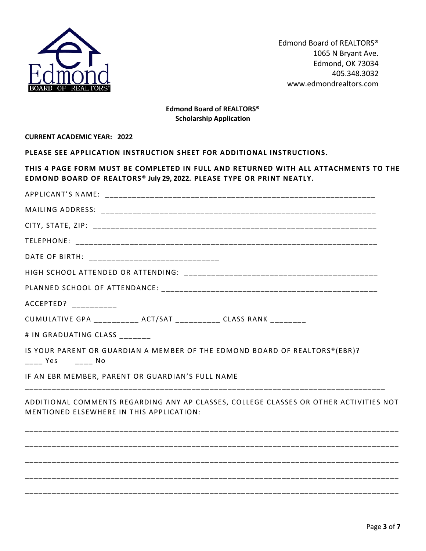

## **Edmond Board of REALTORS® Scholarship Application**

**CURRENT ACADEMIC YEAR: 2022**

**PLEASE SEE APPLICATION INSTRUCTION SHEET FOR ADDITIONAL INSTRUCTIONS.** 

**THIS 4 PAGE FORM MUST BE COMPLETED IN FULL AND RETURNED WITH ALL ATTACHMENTS TO THE EDMOND BOARD OF REALTORS® July 29, 2022. PLEASE TYPE OR PRINT NEATLY.**

| DATE OF BIRTH: _________________________________                                                                                                |
|-------------------------------------------------------------------------------------------------------------------------------------------------|
|                                                                                                                                                 |
|                                                                                                                                                 |
| ACCEPTED?                                                                                                                                       |
| CUMULATIVE GPA __________ ACT/SAT __________ CLASS RANK ________                                                                                |
| # IN GRADUATING CLASS ______                                                                                                                    |
| IS YOUR PARENT OR GUARDIAN A MEMBER OF THE EDMOND BOARD OF REALTORS® (EBR)?<br>$\begin{array}{ccc} - & \times & \times & \times \end{array}$ No |
| IF AN EBR MEMBER, PARENT OR GUARDIAN'S FULL NAME                                                                                                |
| ADDITIONAL COMMENTS REGARDING ANY AP CLASSES, COLLEGE CLASSES OR OTHER ACTIVITIES NOT<br>MENTIONED ELSEWHERE IN THIS APPLICATION:               |
|                                                                                                                                                 |
|                                                                                                                                                 |
|                                                                                                                                                 |
|                                                                                                                                                 |
|                                                                                                                                                 |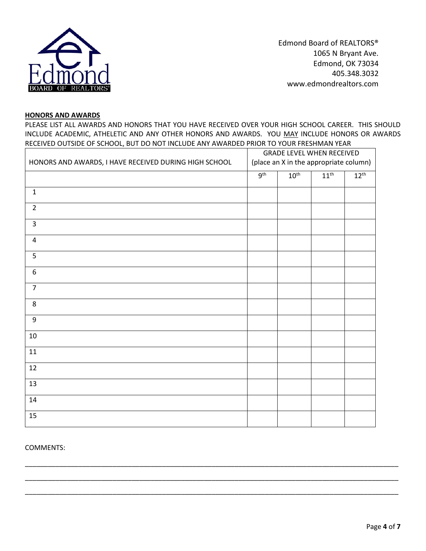

### **HONORS AND AWARDS**

PLEASE LIST ALL AWARDS AND HONORS THAT YOU HAVE RECEIVED OVER YOUR HIGH SCHOOL CAREER. THIS SHOULD INCLUDE ACADEMIC, ATHELETIC AND ANY OTHER HONORS AND AWARDS. YOU MAY INCLUDE HONORS OR AWARDS RECEIVED OUTSIDE OF SCHOOL, BUT DO NOT INCLUDE ANY AWARDED PRIOR TO YOUR FRESHMAN YEAR

| HONORS AND AWARDS, I HAVE RECEIVED DURING HIGH SCHOOL | <b>GRADE LEVEL WHEN RECEIVED</b><br>(place an X in the appropriate column) |                  |                  |           |
|-------------------------------------------------------|----------------------------------------------------------------------------|------------------|------------------|-----------|
|                                                       | 9 <sup>th</sup>                                                            | $10^{\text{th}}$ | $11^{\text{th}}$ | $12^{th}$ |
| $\mathbf{1}$                                          |                                                                            |                  |                  |           |
| $\overline{2}$                                        |                                                                            |                  |                  |           |
| $\overline{\mathbf{3}}$                               |                                                                            |                  |                  |           |
| $\pmb{4}$                                             |                                                                            |                  |                  |           |
| 5                                                     |                                                                            |                  |                  |           |
| 6                                                     |                                                                            |                  |                  |           |
| $\overline{7}$                                        |                                                                            |                  |                  |           |
| $\bf 8$                                               |                                                                            |                  |                  |           |
| $\boldsymbol{9}$                                      |                                                                            |                  |                  |           |
| 10                                                    |                                                                            |                  |                  |           |
| $11\,$                                                |                                                                            |                  |                  |           |
| 12                                                    |                                                                            |                  |                  |           |
| 13                                                    |                                                                            |                  |                  |           |
| 14                                                    |                                                                            |                  |                  |           |
| 15                                                    |                                                                            |                  |                  |           |

\_\_\_\_\_\_\_\_\_\_\_\_\_\_\_\_\_\_\_\_\_\_\_\_\_\_\_\_\_\_\_\_\_\_\_\_\_\_\_\_\_\_\_\_\_\_\_\_\_\_\_\_\_\_\_\_\_\_\_\_\_\_\_\_\_\_\_\_\_\_\_\_\_\_\_\_\_\_\_\_\_\_\_\_\_\_\_\_\_\_\_\_\_\_\_\_\_\_

\_\_\_\_\_\_\_\_\_\_\_\_\_\_\_\_\_\_\_\_\_\_\_\_\_\_\_\_\_\_\_\_\_\_\_\_\_\_\_\_\_\_\_\_\_\_\_\_\_\_\_\_\_\_\_\_\_\_\_\_\_\_\_\_\_\_\_\_\_\_\_\_\_\_\_\_\_\_\_\_\_\_\_\_\_\_\_\_\_\_\_\_\_\_\_\_\_\_

\_\_\_\_\_\_\_\_\_\_\_\_\_\_\_\_\_\_\_\_\_\_\_\_\_\_\_\_\_\_\_\_\_\_\_\_\_\_\_\_\_\_\_\_\_\_\_\_\_\_\_\_\_\_\_\_\_\_\_\_\_\_\_\_\_\_\_\_\_\_\_\_\_\_\_\_\_\_\_\_\_\_\_\_\_\_\_\_\_\_\_\_\_\_\_\_\_\_

# COMMENTS: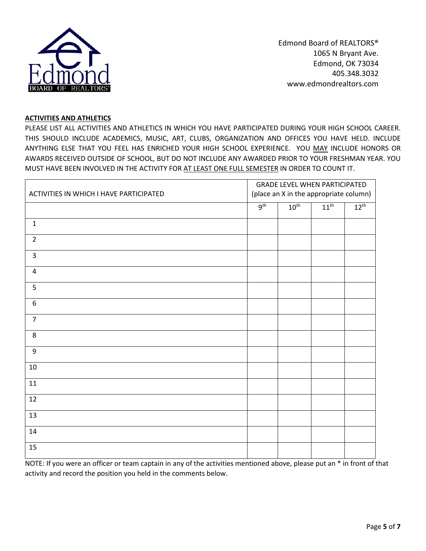

### **ACTIVITIES AND ATHLETICS**

PLEASE LIST ALL ACTIVITIES AND ATHLETICS IN WHICH YOU HAVE PARTICIPATED DURING YOUR HIGH SCHOOL CAREER. THIS SHOULD INCLUDE ACADEMICS, MUSIC, ART, CLUBS, ORGANIZATION AND OFFICES YOU HAVE HELD. INCLUDE ANYTHING ELSE THAT YOU FEEL HAS ENRICHED YOUR HIGH SCHOOL EXPERIENCE. YOU MAY INCLUDE HONORS OR AWARDS RECEIVED OUTSIDE OF SCHOOL, BUT DO NOT INCLUDE ANY AWARDED PRIOR TO YOUR FRESHMAN YEAR. YOU MUST HAVE BEEN INVOLVED IN THE ACTIVITY FOR AT LEAST ONE FULL SEMESTER IN ORDER TO COUNT IT.

| ACTIVITIES IN WHICH I HAVE PARTICIPATED | <b>GRADE LEVEL WHEN PARTICIPATED</b><br>(place an X in the appropriate column) |                  |                  |           |
|-----------------------------------------|--------------------------------------------------------------------------------|------------------|------------------|-----------|
|                                         | 9 <sup>th</sup>                                                                | 10 <sup>th</sup> | 11 <sup>th</sup> | $12^{th}$ |
| $\mathbf{1}$                            |                                                                                |                  |                  |           |
| $\overline{2}$                          |                                                                                |                  |                  |           |
| $\overline{3}$                          |                                                                                |                  |                  |           |
| $\overline{\mathbf{4}}$                 |                                                                                |                  |                  |           |
| 5                                       |                                                                                |                  |                  |           |
| 6                                       |                                                                                |                  |                  |           |
| $\overline{7}$                          |                                                                                |                  |                  |           |
| 8                                       |                                                                                |                  |                  |           |
| $\boldsymbol{9}$                        |                                                                                |                  |                  |           |
| $10\,$                                  |                                                                                |                  |                  |           |
| ${\bf 11}$                              |                                                                                |                  |                  |           |
| 12                                      |                                                                                |                  |                  |           |
| 13                                      |                                                                                |                  |                  |           |
| $14\,$                                  |                                                                                |                  |                  |           |
| 15                                      |                                                                                |                  |                  |           |

NOTE: If you were an officer or team captain in any of the activities mentioned above, please put an \* in front of that activity and record the position you held in the comments below.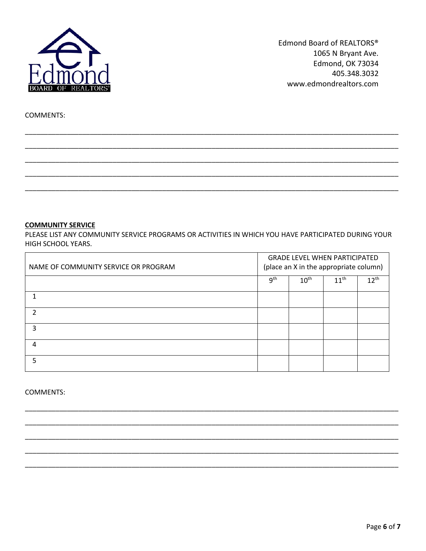

**COMMENTS:** 

### **COMMUNITY SERVICE**

PLEASE LIST ANY COMMUNITY SERVICE PROGRAMS OR ACTIVITIES IN WHICH YOU HAVE PARTICIPATED DURING YOUR HIGH SCHOOL YEARS.

| NAME OF COMMUNITY SERVICE OR PROGRAM | <b>GRADE LEVEL WHEN PARTICIPATED</b><br>(place an X in the appropriate column) |                  |           |           |
|--------------------------------------|--------------------------------------------------------------------------------|------------------|-----------|-----------|
|                                      | 9 <sup>th</sup>                                                                | $10^{\text{th}}$ | $11^{th}$ | $12^{th}$ |
|                                      |                                                                                |                  |           |           |
|                                      |                                                                                |                  |           |           |
|                                      |                                                                                |                  |           |           |
| 4                                    |                                                                                |                  |           |           |
| 5                                    |                                                                                |                  |           |           |

**COMMENTS:**